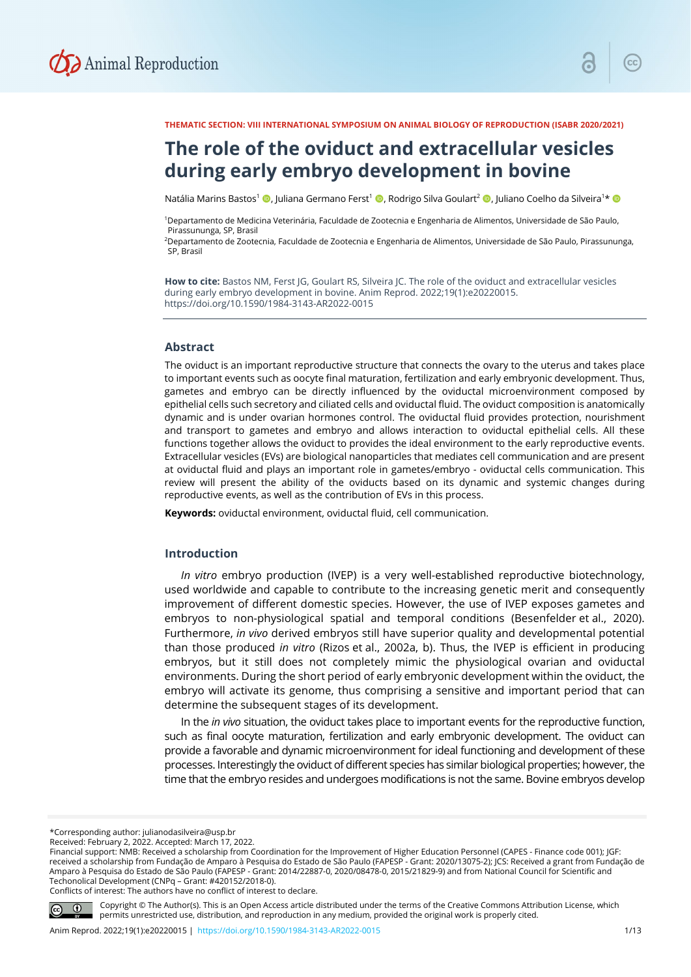#### **THEMATIC SECTION: VIII INTERNATIONAL SYMPOSIUM ON ANIMAL BIOLOGY OF REPRODUCTION (ISABR 2020/2021)**

# **The role of the oviduct and extracellular vesicles during early embryo development in bovine**

Natália Marins Bastos<sup>1</sup> ©, Juliana Germano Ferst<sup>1</sup> ©, Rodrigo Silva Goulart<sup>2</sup> ©, Juliano Coelho da Silveira<sup>1</sup>\* ©

1Departamento de Medicina Veterinária, Faculdade de Zootecnia e Engenharia de Alimentos, Universidade de São Paulo, Pirassununga, SP, Brasil

2Departamento de Zootecnia, Faculdade de Zootecnia e Engenharia de Alimentos, Universidade de São Paulo, Pirassununga, SP, Brasil

**How to cite:** Bastos NM, Ferst JG, Goulart RS, Silveira JC. The role of the oviduct and extracellular vesicles during early embryo development in bovine. Anim Reprod. 2022;19(1):e20220015. https://doi.org/10.1590/1984-3143-AR2022-0015

### **Abstract**

The oviduct is an important reproductive structure that connects the ovary to the uterus and takes place to important events such as oocyte final maturation, fertilization and early embryonic development. Thus, gametes and embryo can be directly influenced by the oviductal microenvironment composed by epithelial cells such secretory and ciliated cells and oviductal fluid. The oviduct composition is anatomically dynamic and is under ovarian hormones control. The oviductal fluid provides protection, nourishment and transport to gametes and embryo and allows interaction to oviductal epithelial cells. All these functions together allows the oviduct to provides the ideal environment to the early reproductive events. Extracellular vesicles (EVs) are biological nanoparticles that mediates cell communication and are present at oviductal fluid and plays an important role in gametes/embryo - oviductal cells communication. This review will present the ability of the oviducts based on its dynamic and systemic changes during reproductive events, as well as the contribution of EVs in this process.

**Keywords:** oviductal environment, oviductal fluid, cell communication.

# **Introduction**

*In vitro* embryo production (IVEP) is a very well-established reproductive biotechnology, used worldwide and capable to contribute to the increasing genetic merit and consequently improvement of different domestic species. However, the use of IVEP exposes gametes and embryos to non-physiological spatial and temporal conditions (Besenfelder et al., 2020). Furthermore, *in vivo* derived embryos still have superior quality and developmental potential than those produced *in vitro* (Rizos et al., 2002a, b). Thus, the IVEP is efficient in producing embryos, but it still does not completely mimic the physiological ovarian and oviductal environments. During the short period of early embryonic development within the oviduct, the embryo will activate its genome, thus comprising a sensitive and important period that can determine the subsequent stages of its development.

In the *in vivo* situation, the oviduct takes place to important events for the reproductive function, such as final oocyte maturation, fertilization and early embryonic development. The oviduct can provide a favorable and dynamic microenvironment for ideal functioning and development of these processes. Interestingly the oviduct of different species has similar biological properties; however, the time that the embryo resides and undergoes modifications is not the same. Bovine embryos develop

\*Corresponding author: julianodasilveira@usp.br

Received: February 2, 2022. Accepted: March 17, 2022.

Financial support: NMB: Received a scholarship from Coordination for the Improvement of Higher Education Personnel (CAPES - Finance code 001); JGF: received a scholarship from Fundação de Amparo à Pesquisa do Estado de São Paulo (FAPESP - Grant: 2020/13075-2); JCS: Received a grant from Fundação de Amparo à Pesquisa do Estado de São Paulo (FAPESP - Grant: 2014/22887-0, 2020/08478-0, 2015/21829-9) and from National Council for Scientific and Techonolical Development (CNPq – Grant: #420152/2018-0).

Conflicts of interest: The authors have no conflict of interest to declare.



Copyright © The Author(s). This is an Open Access article distributed under the terms of the Creative Commons Attribution License, which permits unrestricted use, distribution, and reproduction in any medium, provided the original work is properly cited.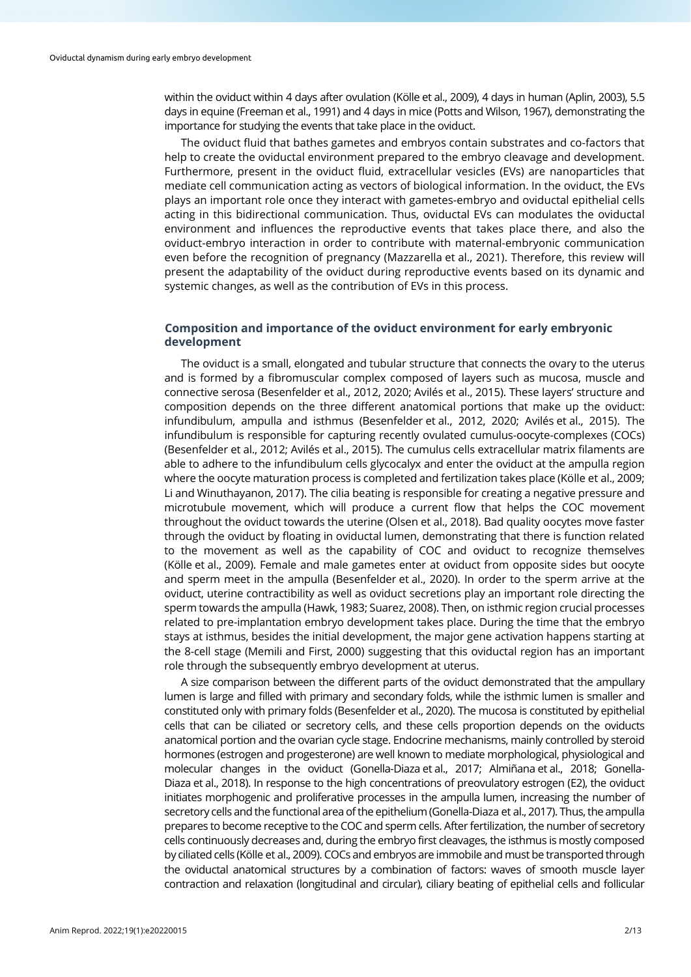within the oviduct within 4 days after ovulation (Kölle et al., 2009), 4 days in human (Aplin, 2003), 5.5 days in equine (Freeman et al., 1991) and 4 days in mice (Potts and Wilson, 1967), demonstrating the importance for studying the events that take place in the oviduct.

The oviduct fluid that bathes gametes and embryos contain substrates and co-factors that help to create the oviductal environment prepared to the embryo cleavage and development. Furthermore, present in the oviduct fluid, extracellular vesicles (EVs) are nanoparticles that mediate cell communication acting as vectors of biological information. In the oviduct, the EVs plays an important role once they interact with gametes-embryo and oviductal epithelial cells acting in this bidirectional communication. Thus, oviductal EVs can modulates the oviductal environment and influences the reproductive events that takes place there, and also the oviduct-embryo interaction in order to contribute with maternal-embryonic communication even before the recognition of pregnancy (Mazzarella et al., 2021). Therefore, this review will present the adaptability of the oviduct during reproductive events based on its dynamic and systemic changes, as well as the contribution of EVs in this process.

# **Composition and importance of the oviduct environment for early embryonic development**

The oviduct is a small, elongated and tubular structure that connects the ovary to the uterus and is formed by a fibromuscular complex composed of layers such as mucosa, muscle and connective serosa (Besenfelder et al., 2012, 2020; Avilés et al., 2015). These layers' structure and composition depends on the three different anatomical portions that make up the oviduct: infundibulum, ampulla and isthmus (Besenfelder et al., 2012, 2020; Avilés et al., 2015). The infundibulum is responsible for capturing recently ovulated cumulus-oocyte-complexes (COCs) (Besenfelder et al., 2012; Avilés et al., 2015). The cumulus cells extracellular matrix filaments are able to adhere to the infundibulum cells glycocalyx and enter the oviduct at the ampulla region where the oocyte maturation process is completed and fertilization takes place (Kölle et al., 2009; Li and Winuthayanon, 2017). The cilia beating is responsible for creating a negative pressure and microtubule movement, which will produce a current flow that helps the COC movement throughout the oviduct towards the uterine (Olsen et al., 2018). Bad quality oocytes move faster through the oviduct by floating in oviductal lumen, demonstrating that there is function related to the movement as well as the capability of COC and oviduct to recognize themselves (Kölle et al., 2009). Female and male gametes enter at oviduct from opposite sides but oocyte and sperm meet in the ampulla (Besenfelder et al., 2020). In order to the sperm arrive at the oviduct, uterine contractibility as well as oviduct secretions play an important role directing the sperm towards the ampulla (Hawk, 1983; Suarez, 2008). Then, on isthmic region crucial processes related to pre-implantation embryo development takes place. During the time that the embryo stays at isthmus, besides the initial development, the major gene activation happens starting at the 8-cell stage (Memili and First, 2000) suggesting that this oviductal region has an important role through the subsequently embryo development at uterus.

A size comparison between the different parts of the oviduct demonstrated that the ampullary lumen is large and filled with primary and secondary folds, while the isthmic lumen is smaller and constituted only with primary folds (Besenfelder et al., 2020). The mucosa is constituted by epithelial cells that can be ciliated or secretory cells, and these cells proportion depends on the oviducts anatomical portion and the ovarian cycle stage. Endocrine mechanisms, mainly controlled by steroid hormones (estrogen and progesterone) are well known to mediate morphological, physiological and molecular changes in the oviduct (Gonella-Diaza et al., 2017; Almiñana et al., 2018; Gonella-Diaza et al., 2018). In response to the high concentrations of preovulatory estrogen (E2), the oviduct initiates morphogenic and proliferative processes in the ampulla lumen, increasing the number of secretory cells and the functional area of the epithelium (Gonella-Diaza et al., 2017). Thus, the ampulla prepares to become receptive to the COC and sperm cells. After fertilization, the number of secretory cells continuously decreases and, during the embryo first cleavages, the isthmus is mostly composed by ciliated cells (Kölle et al., 2009). COCs and embryos are immobile and must be transported through the oviductal anatomical structures by a combination of factors: waves of smooth muscle layer contraction and relaxation (longitudinal and circular), ciliary beating of epithelial cells and follicular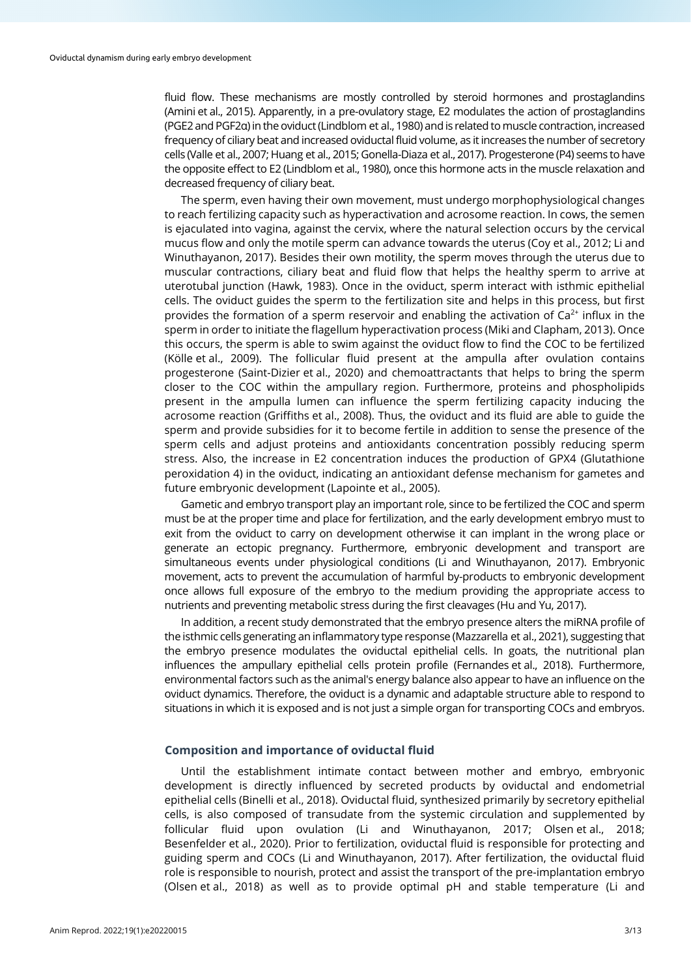fluid flow. These mechanisms are mostly controlled by steroid hormones and prostaglandins (Amini et al., 2015). Apparently, in a pre-ovulatory stage, E2 modulates the action of prostaglandins (PGE2 and PGF2α) in the oviduct (Lindblom et al., 1980) and is related to muscle contraction, increased frequency of ciliary beat and increased oviductal fluid volume, as it increases the number of secretory cells (Valle et al., 2007; Huang et al., 2015; Gonella-Diaza et al., 2017). Progesterone (P4) seems to have the opposite effect to E2 (Lindblom et al., 1980), once this hormone acts in the muscle relaxation and decreased frequency of ciliary beat.

The sperm, even having their own movement, must undergo morphophysiological changes to reach fertilizing capacity such as hyperactivation and acrosome reaction. In cows, the semen is ejaculated into vagina, against the cervix, where the natural selection occurs by the cervical mucus flow and only the motile sperm can advance towards the uterus (Coy et al., 2012; Li and Winuthayanon, 2017). Besides their own motility, the sperm moves through the uterus due to muscular contractions, ciliary beat and fluid flow that helps the healthy sperm to arrive at uterotubal junction (Hawk, 1983). Once in the oviduct, sperm interact with isthmic epithelial cells. The oviduct guides the sperm to the fertilization site and helps in this process, but first provides the formation of a sperm reservoir and enabling the activation of  $Ca<sup>2+</sup>$  influx in the sperm in order to initiate the flagellum hyperactivation process (Miki and Clapham, 2013). Once this occurs, the sperm is able to swim against the oviduct flow to find the COC to be fertilized (Kölle et al., 2009). The follicular fluid present at the ampulla after ovulation contains progesterone (Saint-Dizier et al., 2020) and chemoattractants that helps to bring the sperm closer to the COC within the ampullary region. Furthermore, proteins and phospholipids present in the ampulla lumen can influence the sperm fertilizing capacity inducing the acrosome reaction (Griffiths et al., 2008). Thus, the oviduct and its fluid are able to guide the sperm and provide subsidies for it to become fertile in addition to sense the presence of the sperm cells and adjust proteins and antioxidants concentration possibly reducing sperm stress. Also, the increase in E2 concentration induces the production of GPX4 (Glutathione peroxidation 4) in the oviduct, indicating an antioxidant defense mechanism for gametes and future embryonic development (Lapointe et al., 2005).

Gametic and embryo transport play an important role, since to be fertilized the COC and sperm must be at the proper time and place for fertilization, and the early development embryo must to exit from the oviduct to carry on development otherwise it can implant in the wrong place or generate an ectopic pregnancy. Furthermore, embryonic development and transport are simultaneous events under physiological conditions (Li and Winuthayanon, 2017). Embryonic movement, acts to prevent the accumulation of harmful by-products to embryonic development once allows full exposure of the embryo to the medium providing the appropriate access to nutrients and preventing metabolic stress during the first cleavages (Hu and Yu, 2017).

In addition, a recent study demonstrated that the embryo presence alters the miRNA profile of the isthmic cells generating an inflammatory type response (Mazzarella et al., 2021), suggesting that the embryo presence modulates the oviductal epithelial cells. In goats, the nutritional plan influences the ampullary epithelial cells protein profile (Fernandes et al., 2018). Furthermore, environmental factors such as the animal's energy balance also appear to have an influence on the oviduct dynamics. Therefore, the oviduct is a dynamic and adaptable structure able to respond to situations in which it is exposed and is not just a simple organ for transporting COCs and embryos.

#### **Composition and importance of oviductal fluid**

Until the establishment intimate contact between mother and embryo, embryonic development is directly influenced by secreted products by oviductal and endometrial epithelial cells (Binelli et al., 2018). Oviductal fluid, synthesized primarily by secretory epithelial cells, is also composed of transudate from the systemic circulation and supplemented by follicular fluid upon ovulation (Li and Winuthayanon, 2017; Olsen et al., 2018; Besenfelder et al., 2020). Prior to fertilization, oviductal fluid is responsible for protecting and guiding sperm and COCs (Li and Winuthayanon, 2017). After fertilization, the oviductal fluid role is responsible to nourish, protect and assist the transport of the pre-implantation embryo (Olsen et al., 2018) as well as to provide optimal pH and stable temperature (Li and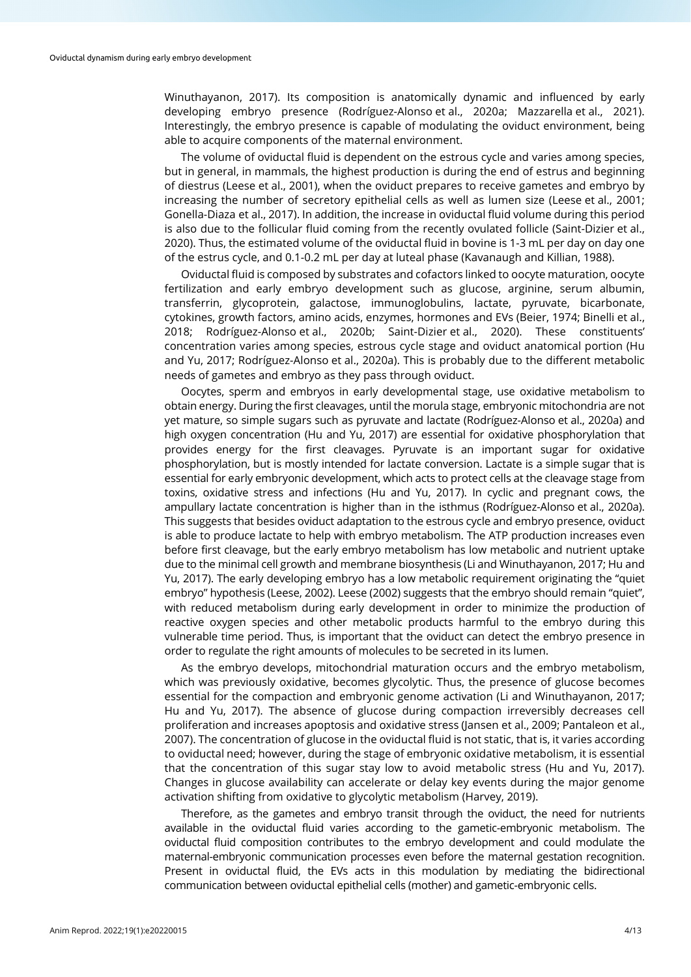Winuthayanon, 2017). Its composition is anatomically dynamic and influenced by early developing embryo presence (Rodríguez-Alonso et al., 2020a; Mazzarella et al., 2021). Interestingly, the embryo presence is capable of modulating the oviduct environment, being able to acquire components of the maternal environment.

The volume of oviductal fluid is dependent on the estrous cycle and varies among species, but in general, in mammals, the highest production is during the end of estrus and beginning of diestrus (Leese et al., 2001), when the oviduct prepares to receive gametes and embryo by increasing the number of secretory epithelial cells as well as lumen size (Leese et al., 2001; Gonella-Diaza et al., 2017). In addition, the increase in oviductal fluid volume during this period is also due to the follicular fluid coming from the recently ovulated follicle (Saint-Dizier et al., 2020). Thus, the estimated volume of the oviductal fluid in bovine is 1-3 mL per day on day one of the estrus cycle, and 0.1-0.2 mL per day at luteal phase (Kavanaugh and Killian, 1988).

Oviductal fluid is composed by substrates and cofactors linked to oocyte maturation, oocyte fertilization and early embryo development such as glucose, arginine, serum albumin, transferrin, glycoprotein, galactose, immunoglobulins, lactate, pyruvate, bicarbonate, cytokines, growth factors, amino acids, enzymes, hormones and EVs (Beier, 1974; Binelli et al., 2018; Rodríguez-Alonso et al., 2020b; Saint-Dizier et al., 2020). These constituents' concentration varies among species, estrous cycle stage and oviduct anatomical portion (Hu and Yu, 2017; Rodríguez-Alonso et al., 2020a). This is probably due to the different metabolic needs of gametes and embryo as they pass through oviduct.

Oocytes, sperm and embryos in early developmental stage, use oxidative metabolism to obtain energy. During the first cleavages, until the morula stage, embryonic mitochondria are not yet mature, so simple sugars such as pyruvate and lactate (Rodríguez-Alonso et al., 2020a) and high oxygen concentration (Hu and Yu, 2017) are essential for oxidative phosphorylation that provides energy for the first cleavages. Pyruvate is an important sugar for oxidative phosphorylation, but is mostly intended for lactate conversion. Lactate is a simple sugar that is essential for early embryonic development, which acts to protect cells at the cleavage stage from toxins, oxidative stress and infections (Hu and Yu, 2017). In cyclic and pregnant cows, the ampullary lactate concentration is higher than in the isthmus (Rodríguez-Alonso et al., 2020a). This suggests that besides oviduct adaptation to the estrous cycle and embryo presence, oviduct is able to produce lactate to help with embryo metabolism. The ATP production increases even before first cleavage, but the early embryo metabolism has low metabolic and nutrient uptake due to the minimal cell growth and membrane biosynthesis (Li and Winuthayanon, 2017; Hu and Yu, 2017). The early developing embryo has a low metabolic requirement originating the "quiet embryo" hypothesis (Leese, 2002). Leese (2002) suggests that the embryo should remain "quiet", with reduced metabolism during early development in order to minimize the production of reactive oxygen species and other metabolic products harmful to the embryo during this vulnerable time period. Thus, is important that the oviduct can detect the embryo presence in order to regulate the right amounts of molecules to be secreted in its lumen.

As the embryo develops, mitochondrial maturation occurs and the embryo metabolism, which was previously oxidative, becomes glycolytic. Thus, the presence of glucose becomes essential for the compaction and embryonic genome activation (Li and Winuthayanon, 2017; Hu and Yu, 2017). The absence of glucose during compaction irreversibly decreases cell proliferation and increases apoptosis and oxidative stress (Jansen et al., 2009; Pantaleon et al., 2007). The concentration of glucose in the oviductal fluid is not static, that is, it varies according to oviductal need; however, during the stage of embryonic oxidative metabolism, it is essential that the concentration of this sugar stay low to avoid metabolic stress (Hu and Yu, 2017). Changes in glucose availability can accelerate or delay key events during the major genome activation shifting from oxidative to glycolytic metabolism (Harvey, 2019).

Therefore, as the gametes and embryo transit through the oviduct, the need for nutrients available in the oviductal fluid varies according to the gametic-embryonic metabolism. The oviductal fluid composition contributes to the embryo development and could modulate the maternal-embryonic communication processes even before the maternal gestation recognition. Present in oviductal fluid, the EVs acts in this modulation by mediating the bidirectional communication between oviductal epithelial cells (mother) and gametic-embryonic cells.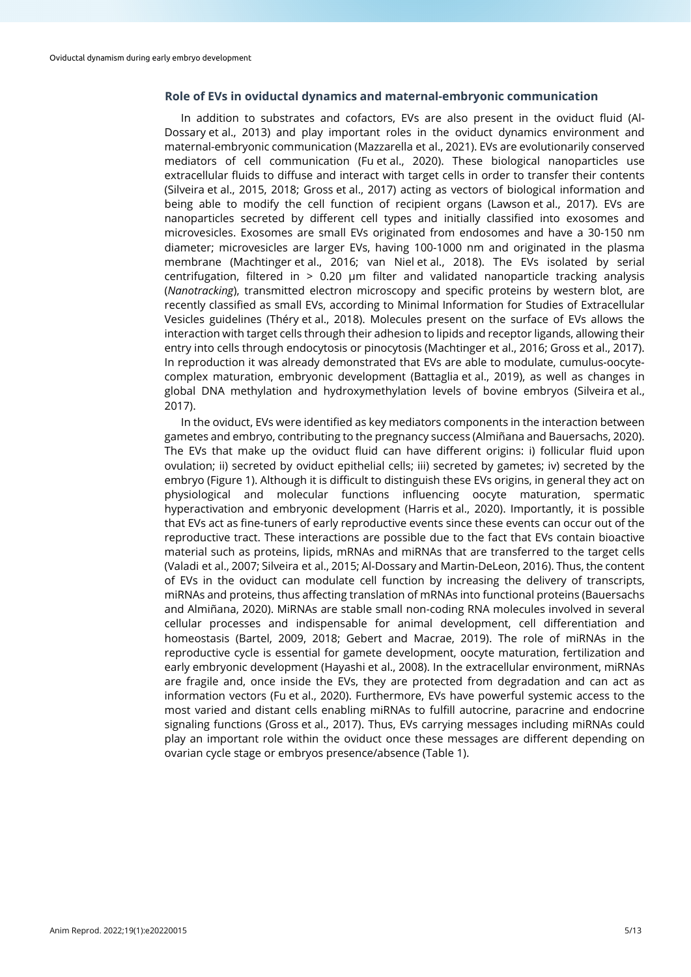# **Role of EVs in oviductal dynamics and maternal-embryonic communication**

In addition to substrates and cofactors, EVs are also present in the oviduct fluid (Al-Dossary et al., 2013) and play important roles in the oviduct dynamics environment and maternal-embryonic communication (Mazzarella et al., 2021). EVs are evolutionarily conserved mediators of cell communication (Fu et al., 2020). These biological nanoparticles use extracellular fluids to diffuse and interact with target cells in order to transfer their contents (Silveira et al., 2015, 2018; Gross et al., 2017) acting as vectors of biological information and being able to modify the cell function of recipient organs (Lawson et al., 2017). EVs are nanoparticles secreted by different cell types and initially classified into exosomes and microvesicles. Exosomes are small EVs originated from endosomes and have a 30-150 nm diameter; microvesicles are larger EVs, having 100-1000 nm and originated in the plasma membrane (Machtinger et al., 2016; van Niel et al., 2018). The EVs isolated by serial centrifugation, filtered in  $> 0.20$  µm filter and validated nanoparticle tracking analysis (*Nanotracking*), transmitted electron microscopy and specific proteins by western blot, are recently classified as small EVs, according to Minimal Information for Studies of Extracellular Vesicles guidelines (Théry et al., 2018). Molecules present on the surface of EVs allows the interaction with target cells through their adhesion to lipids and receptor ligands, allowing their entry into cells through endocytosis or pinocytosis (Machtinger et al., 2016; Gross et al., 2017). In reproduction it was already demonstrated that EVs are able to modulate, cumulus-oocytecomplex maturation, embryonic development (Battaglia et al., 2019), as well as changes in global DNA methylation and hydroxymethylation levels of bovine embryos (Silveira et al., 2017).

In the oviduct, EVs were identified as key mediators components in the interaction between gametes and embryo, contributing to the pregnancy success (Almiñana and Bauersachs, 2020). The EVs that make up the oviduct fluid can have different origins: i) follicular fluid upon ovulation; ii) secreted by oviduct epithelial cells; iii) secreted by gametes; iv) secreted by the embryo (Figure 1). Although it is difficult to distinguish these EVs origins, in general they act on physiological and molecular functions influencing oocyte maturation, spermatic hyperactivation and embryonic development (Harris et al., 2020). Importantly, it is possible that EVs act as fine-tuners of early reproductive events since these events can occur out of the reproductive tract. These interactions are possible due to the fact that EVs contain bioactive material such as proteins, lipids, mRNAs and miRNAs that are transferred to the target cells (Valadi et al., 2007; Silveira et al., 2015; Al-Dossary and Martin-DeLeon, 2016). Thus, the content of EVs in the oviduct can modulate cell function by increasing the delivery of transcripts, miRNAs and proteins, thus affecting translation of mRNAs into functional proteins (Bauersachs and Almiñana, 2020). MiRNAs are stable small non-coding RNA molecules involved in several cellular processes and indispensable for animal development, cell differentiation and homeostasis (Bartel, 2009, 2018; Gebert and Macrae, 2019). The role of miRNAs in the reproductive cycle is essential for gamete development, oocyte maturation, fertilization and early embryonic development (Hayashi et al., 2008). In the extracellular environment, miRNAs are fragile and, once inside the EVs, they are protected from degradation and can act as information vectors (Fu et al., 2020). Furthermore, EVs have powerful systemic access to the most varied and distant cells enabling miRNAs to fulfill autocrine, paracrine and endocrine signaling functions (Gross et al., 2017). Thus, EVs carrying messages including miRNAs could play an important role within the oviduct once these messages are different depending on ovarian cycle stage or embryos presence/absence (Table 1).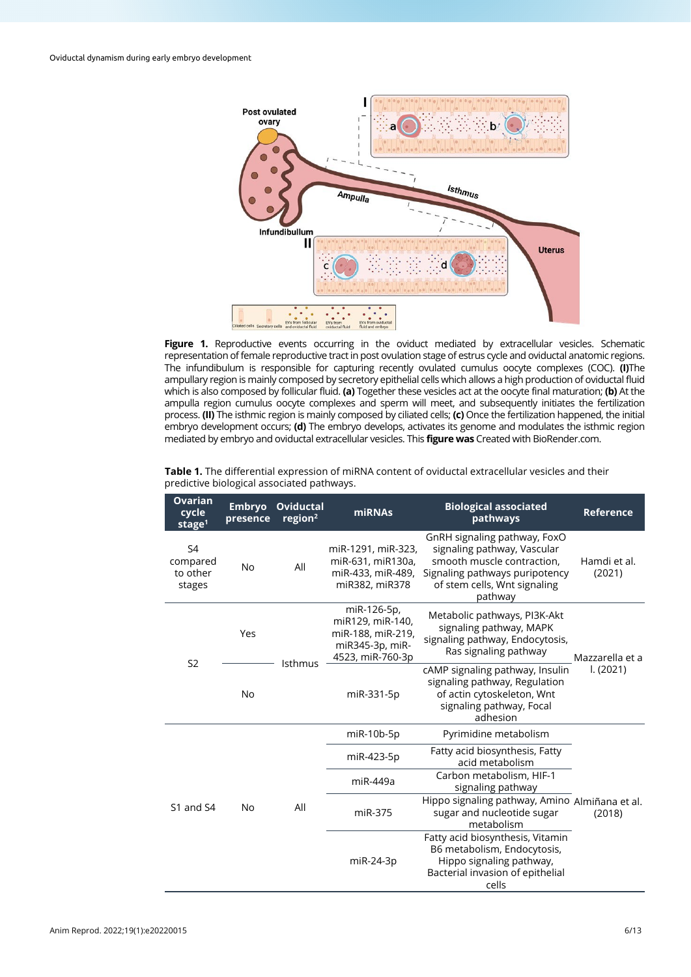

Figure 1. Reproductive events occurring in the oviduct mediated by extracellular vesicles. Schematic representation of female reproductive tract in post ovulation stage of estrus cycle and oviductal anatomic regions. The infundibulum is responsible for capturing recently ovulated cumulus oocyte complexes (COC). **(I)**The ampullary region is mainly composed by secretory epithelial cells which allows a high production of oviductal fluid which is also composed by follicular fluid. **(a)** Together these vesicles act at the oocyte final maturation; **(b)** At the ampulla region cumulus oocyte complexes and sperm will meet, and subsequently initiates the fertilization process. **(II)** The isthmic region is mainly composed by ciliated cells; **(c)** Once the fertilization happened, the initial embryo development occurs; **(d)** The embryo develops, activates its genome and modulates the isthmic region mediated by embryo and oviductal extracellular vesicles. This **figure was** Created with BioRender.com.

| Ovarian<br>cycle<br>stage <sup>1</sup>           | <b>Embryo</b><br>presence | <b>Oviductal</b><br>region <sup>2</sup> | miRNAs                                                                                      | <b>Biological associated</b><br>pathways                                                                                                                               | <b>Reference</b>             |
|--------------------------------------------------|---------------------------|-----------------------------------------|---------------------------------------------------------------------------------------------|------------------------------------------------------------------------------------------------------------------------------------------------------------------------|------------------------------|
| S <sub>4</sub><br>compared<br>to other<br>stages | <b>No</b>                 | All                                     | miR-1291, miR-323,<br>miR-631, miR130a,<br>miR-433, miR-489,<br>miR382, miR378              | GnRH signaling pathway, FoxO<br>signaling pathway, Vascular<br>smooth muscle contraction,<br>Signaling pathways puripotency<br>of stem cells, Wnt signaling<br>pathway | Hamdi et al.<br>(2021)       |
| S <sub>2</sub>                                   | Yes                       | Isthmus                                 | miR-126-5p,<br>miR129, miR-140,<br>miR-188, miR-219,<br>miR345-3p, miR-<br>4523, miR-760-3p | Metabolic pathways, PI3K-Akt<br>signaling pathway, MAPK<br>signaling pathway, Endocytosis,<br>Ras signaling pathway                                                    | Mazzarella et a<br>1. (2021) |
|                                                  | <b>No</b>                 |                                         | miR-331-5p                                                                                  | cAMP signaling pathway, Insulin<br>signaling pathway, Regulation<br>of actin cytoskeleton, Wnt<br>signaling pathway, Focal<br>adhesion                                 |                              |
| S1 and S4                                        | No                        | All                                     | $miR-10b-5p$                                                                                | Pyrimidine metabolism                                                                                                                                                  | (2018)                       |
|                                                  |                           |                                         | miR-423-5p                                                                                  | Fatty acid biosynthesis, Fatty<br>acid metabolism                                                                                                                      |                              |
|                                                  |                           |                                         | $miR-449a$                                                                                  | Carbon metabolism, HIF-1<br>signaling pathway                                                                                                                          |                              |
|                                                  |                           |                                         | miR-375                                                                                     | Hippo signaling pathway, Amino Almiñana et al.<br>sugar and nucleotide sugar<br>metabolism                                                                             |                              |
|                                                  |                           |                                         | $miR-24-3p$                                                                                 | Fatty acid biosynthesis, Vitamin<br>B6 metabolism, Endocytosis,<br>Hippo signaling pathway,<br>Bacterial invasion of epithelial<br>cells                               |                              |

**Table 1.** The differential expression of miRNA content of oviductal extracellular vesicles and their predictive biological associated pathways.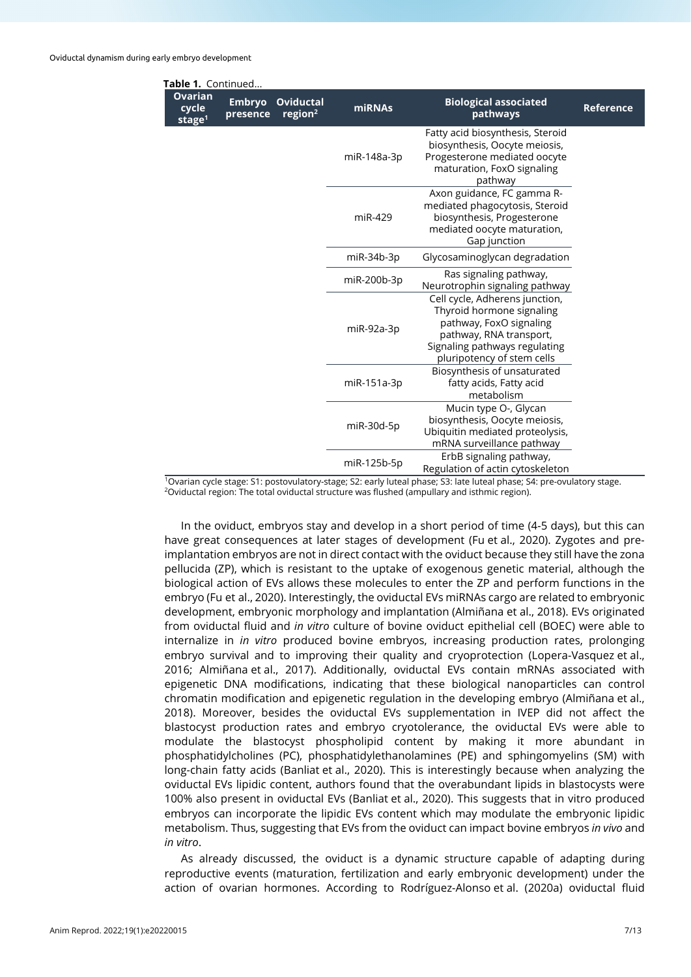| Table 1. Continued<br><b>Ovarian</b><br>cycle<br>stage <sup>1</sup> | <b>Embryo</b><br>presence | <b>Oviductal</b><br>region <sup>2</sup> | miRNAs       | <b>Biological associated</b><br>pathways                                                                                                                                         | <b>Reference</b> |
|---------------------------------------------------------------------|---------------------------|-----------------------------------------|--------------|----------------------------------------------------------------------------------------------------------------------------------------------------------------------------------|------------------|
|                                                                     |                           |                                         | miR-148a-3p  | Fatty acid biosynthesis, Steroid<br>biosynthesis, Oocyte meiosis,<br>Progesterone mediated oocyte<br>maturation, FoxO signaling<br>pathway                                       |                  |
|                                                                     |                           |                                         | miR-429      | Axon guidance, FC gamma R-<br>mediated phagocytosis, Steroid<br>biosynthesis, Progesterone<br>mediated oocyte maturation,<br>Gap junction                                        |                  |
|                                                                     |                           |                                         | $miR-34b-3p$ | Glycosaminoglycan degradation                                                                                                                                                    |                  |
|                                                                     |                           |                                         | miR-200b-3p  | Ras signaling pathway,<br>Neurotrophin signaling pathway                                                                                                                         |                  |
|                                                                     |                           |                                         | $miR-92a-3p$ | Cell cycle, Adherens junction,<br>Thyroid hormone signaling<br>pathway, FoxO signaling<br>pathway, RNA transport,<br>Signaling pathways regulating<br>pluripotency of stem cells |                  |
|                                                                     |                           |                                         | miR-151a-3p  | Biosynthesis of unsaturated<br>fatty acids, Fatty acid<br>metabolism                                                                                                             |                  |
|                                                                     |                           |                                         | miR-30d-5p   | Mucin type O-, Glycan<br>biosynthesis, Oocyte meiosis,<br>Ubiquitin mediated proteolysis,<br>mRNA surveillance pathway                                                           |                  |
|                                                                     |                           |                                         | miR-125b-5p  | ErbB signaling pathway,<br>Regulation of actin cytoskeleton                                                                                                                      |                  |

<sup>1</sup>Ovarian cycle stage: S1: postovulatory-stage; S2: early luteal phase; S3: late luteal phase; S4: pre-ovulatory stage.<br><sup>2</sup>Oviductal region: The total oviductal structure was flushed (ampullary and isthmic region).

In the oviduct, embryos stay and develop in a short period of time (4-5 days), but this can have great consequences at later stages of development (Fu et al., 2020). Zygotes and preimplantation embryos are not in direct contact with the oviduct because they still have the zona pellucida (ZP), which is resistant to the uptake of exogenous genetic material, although the biological action of EVs allows these molecules to enter the ZP and perform functions in the embryo (Fu et al., 2020). Interestingly, the oviductal EVs miRNAs cargo are related to embryonic development, embryonic morphology and implantation (Almiñana et al., 2018). EVs originated from oviductal fluid and *in vitro* culture of bovine oviduct epithelial cell (BOEC) were able to internalize in *in vitro* produced bovine embryos, increasing production rates, prolonging embryo survival and to improving their quality and cryoprotection (Lopera-Vasquez et al., 2016; Almiñana et al., 2017). Additionally, oviductal EVs contain mRNAs associated with epigenetic DNA modifications, indicating that these biological nanoparticles can control chromatin modification and epigenetic regulation in the developing embryo (Almiñana et al., 2018). Moreover, besides the oviductal EVs supplementation in IVEP did not affect the blastocyst production rates and embryo cryotolerance, the oviductal EVs were able to modulate the blastocyst phospholipid content by making it more abundant in phosphatidylcholines (PC), phosphatidylethanolamines (PE) and sphingomyelins (SM) with long-chain fatty acids (Banliat et al., 2020). This is interestingly because when analyzing the oviductal EVs lipidic content, authors found that the overabundant lipids in blastocysts were 100% also present in oviductal EVs (Banliat et al., 2020). This suggests that in vitro produced embryos can incorporate the lipidic EVs content which may modulate the embryonic lipidic metabolism. Thus, suggesting that EVs from the oviduct can impact bovine embryos *in vivo* and *in vitro*.

As already discussed, the oviduct is a dynamic structure capable of adapting during reproductive events (maturation, fertilization and early embryonic development) under the action of ovarian hormones. According to Rodríguez-Alonso et al. (2020a) oviductal fluid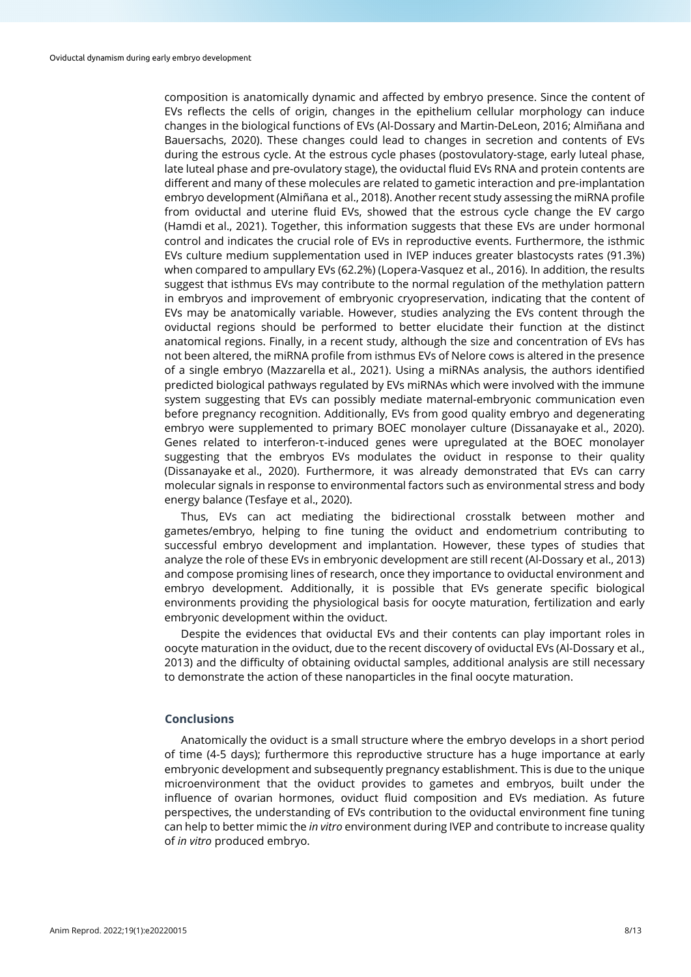composition is anatomically dynamic and affected by embryo presence. Since the content of EVs reflects the cells of origin, changes in the epithelium cellular morphology can induce changes in the biological functions of EVs (Al-Dossary and Martin-DeLeon, 2016; Almiñana and Bauersachs, 2020). These changes could lead to changes in secretion and contents of EVs during the estrous cycle. At the estrous cycle phases (postovulatory-stage, early luteal phase, late luteal phase and pre-ovulatory stage), the oviductal fluid EVs RNA and protein contents are different and many of these molecules are related to gametic interaction and pre-implantation embryo development (Almiñana et al., 2018). Another recent study assessing the miRNA profile from oviductal and uterine fluid EVs, showed that the estrous cycle change the EV cargo (Hamdi et al., 2021). Together, this information suggests that these EVs are under hormonal control and indicates the crucial role of EVs in reproductive events. Furthermore, the isthmic EVs culture medium supplementation used in IVEP induces greater blastocysts rates (91.3%) when compared to ampullary EVs (62.2%) (Lopera-Vasquez et al., 2016). In addition, the results suggest that isthmus EVs may contribute to the normal regulation of the methylation pattern in embryos and improvement of embryonic cryopreservation, indicating that the content of EVs may be anatomically variable. However, studies analyzing the EVs content through the oviductal regions should be performed to better elucidate their function at the distinct anatomical regions. Finally, in a recent study, although the size and concentration of EVs has not been altered, the miRNA profile from isthmus EVs of Nelore cows is altered in the presence of a single embryo (Mazzarella et al., 2021). Using a miRNAs analysis, the authors identified predicted biological pathways regulated by EVs miRNAs which were involved with the immune system suggesting that EVs can possibly mediate maternal-embryonic communication even before pregnancy recognition. Additionally, EVs from good quality embryo and degenerating embryo were supplemented to primary BOEC monolayer culture (Dissanayake et al., 2020). Genes related to interferon-τ-induced genes were upregulated at the BOEC monolayer suggesting that the embryos EVs modulates the oviduct in response to their quality (Dissanayake et al., 2020). Furthermore, it was already demonstrated that EVs can carry molecular signals in response to environmental factors such as environmental stress and body energy balance (Tesfaye et al., 2020).

Thus, EVs can act mediating the bidirectional crosstalk between mother and gametes/embryo, helping to fine tuning the oviduct and endometrium contributing to successful embryo development and implantation. However, these types of studies that analyze the role of these EVs in embryonic development are still recent (Al-Dossary et al., 2013) and compose promising lines of research, once they importance to oviductal environment and embryo development. Additionally, it is possible that EVs generate specific biological environments providing the physiological basis for oocyte maturation, fertilization and early embryonic development within the oviduct.

Despite the evidences that oviductal EVs and their contents can play important roles in oocyte maturation in the oviduct, due to the recent discovery of oviductal EVs (Al-Dossary et al., 2013) and the difficulty of obtaining oviductal samples, additional analysis are still necessary to demonstrate the action of these nanoparticles in the final oocyte maturation.

## **Conclusions**

Anatomically the oviduct is a small structure where the embryo develops in a short period of time (4-5 days); furthermore this reproductive structure has a huge importance at early embryonic development and subsequently pregnancy establishment. This is due to the unique microenvironment that the oviduct provides to gametes and embryos, built under the influence of ovarian hormones, oviduct fluid composition and EVs mediation. As future perspectives, the understanding of EVs contribution to the oviductal environment fine tuning can help to better mimic the *in vitro* environment during IVEP and contribute to increase quality of *in vitro* produced embryo.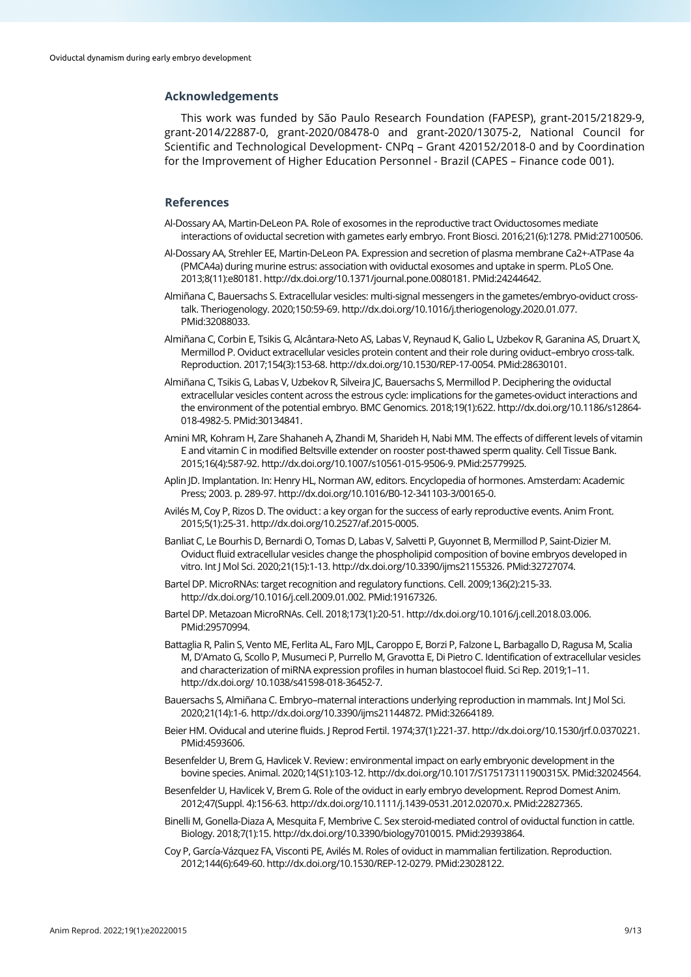# **Acknowledgements**

This work was funded by São Paulo Research Foundation (FAPESP), grant-2015/21829-9, grant-2014/22887-0, grant-2020/08478-0 and grant-2020/13075-2, National Council for Scientific and Technological Development- CNPq – Grant 420152/2018-0 and by Coordination for the Improvement of Higher Education Personnel - Brazil (CAPES – Finance code 001).

### **References**

- Al-Dossary AA, Martin-DeLeon PA. Role of exosomes in the reproductive tract Oviductosomes mediate interactions of oviductal secretion with gametes early embryo. Front Biosci. 2016;21(6):1278. [PMid:27100506.](https://www.ncbi.nlm.nih.gov/entrez/query.fcgi?cmd=Retrieve&db=PubMed&list_uids=27100506&dopt=Abstract)
- Al-Dossary AA, Strehler EE, Martin-DeLeon PA. Expression and secretion of plasma membrane Ca2+-ATPase 4a (PMCA4a) during murine estrus: association with oviductal exosomes and uptake in sperm. PLoS One. 2013;8(11):e80181[. http://dx.doi.org/10.1371/journal.pone.0080181.](https://doi.org/10.1371/journal.pone.0080181) [PMid:24244642.](https://www.ncbi.nlm.nih.gov/entrez/query.fcgi?cmd=Retrieve&db=PubMed&list_uids=24244642&dopt=Abstract)
- Almiñana C, Bauersachs S. Extracellular vesicles: multi-signal messengers in the gametes/embryo-oviduct crosstalk. Theriogenology. 2020;150:59-69[. http://dx.doi.org/10.1016/j.theriogenology.2020.01.077.](https://doi.org/10.1016/j.theriogenology.2020.01.077) [PMid:32088033.](https://www.ncbi.nlm.nih.gov/entrez/query.fcgi?cmd=Retrieve&db=PubMed&list_uids=32088033&dopt=Abstract)
- Almiñana C, Corbin E, Tsikis G, Alcântara-Neto AS, Labas V, Reynaud K, Galio L, Uzbekov R, Garanina AS, Druart X, Mermillod P. Oviduct extracellular vesicles protein content and their role during oviduct–embryo cross-talk. Reproduction. 2017;154(3):153-68[. http://dx.doi.org/10.1530/REP-17-0054.](https://doi.org/10.1530/REP-17-0054) [PMid:28630101.](https://www.ncbi.nlm.nih.gov/entrez/query.fcgi?cmd=Retrieve&db=PubMed&list_uids=28630101&dopt=Abstract)
- Almiñana C, Tsikis G, Labas V, Uzbekov R, Silveira JC, Bauersachs S, Mermillod P. Deciphering the oviductal extracellular vesicles content across the estrous cycle: implications for the gametes-oviduct interactions and the environment of the potential embryo. BMC Genomics. 2018;19(1):622[. http://dx.doi.org/10.1186/s12864-](https://doi.org/10.1186/s12864-018-4982-5) [018-4982-5.](https://doi.org/10.1186/s12864-018-4982-5) [PMid:30134841.](https://www.ncbi.nlm.nih.gov/entrez/query.fcgi?cmd=Retrieve&db=PubMed&list_uids=30134841&dopt=Abstract)
- Amini MR, Kohram H, Zare Shahaneh A, Zhandi M, Sharideh H, Nabi MM. The effects of different levels of vitamin E and vitamin C in modified Beltsville extender on rooster post-thawed sperm quality. Cell Tissue Bank. 2015;16(4):587-92[. http://dx.doi.org/10.1007/s10561-015-9506-9.](https://doi.org/10.1007/s10561-015-9506-9) [PMid:25779925.](https://www.ncbi.nlm.nih.gov/entrez/query.fcgi?cmd=Retrieve&db=PubMed&list_uids=25779925&dopt=Abstract)
- Aplin JD. Implantation. In: Henry HL, Norman AW, editors. Encyclopedia of hormones. Amsterdam: Academic Press; 2003. p. 289-97[. http://dx.doi.org/10.1016/B0-12-341103-3/00165-0.](https://doi.org/10.1016/B0-12-341103-3/00165-0)
- Avilés M, Coy P, Rizos D. The oviduct: a key organ for the success of early reproductive events. Anim Front. 2015;5(1):25-31[. http://dx.doi.org/10.2527/af.2015-0005.](https://doi.org/10.2527/af.2015-0005)
- Banliat C, Le Bourhis D, Bernardi O, Tomas D, Labas V, Salvetti P, Guyonnet B, Mermillod P, Saint-Dizier M. Oviduct fluid extracellular vesicles change the phospholipid composition of bovine embryos developed in vitro. Int J Mol Sci. 2020;21(15):1-13[. http://dx.doi.org/10.3390/ijms21155326.](https://doi.org/10.3390/ijms21155326) [PMid:32727074.](https://www.ncbi.nlm.nih.gov/entrez/query.fcgi?cmd=Retrieve&db=PubMed&list_uids=32727074&dopt=Abstract)
- Bartel DP. MicroRNAs: target recognition and regulatory functions. Cell. 2009;136(2):215-33. [http://dx.doi.org/10.1016/j.cell.2009.01.002.](https://doi.org/10.1016/j.cell.2009.01.002) [PMid:19167326.](https://www.ncbi.nlm.nih.gov/entrez/query.fcgi?cmd=Retrieve&db=PubMed&list_uids=19167326&dopt=Abstract)
- Bartel DP. Metazoan MicroRNAs. Cell. 2018;173(1):20-51[. http://dx.doi.org/10.1016/j.cell.2018.03.006.](https://doi.org/10.1016/j.cell.2018.03.006) [PMid:29570994.](https://www.ncbi.nlm.nih.gov/entrez/query.fcgi?cmd=Retrieve&db=PubMed&list_uids=29570994&dopt=Abstract)
- Battaglia R, Palin S, Vento ME, Ferlita AL, Faro MJL, Caroppo E, Borzi P, Falzone L, Barbagallo D, Ragusa M, Scalia M, D'Amato G, Scollo P, Musumeci P, Purrello M, Gravotta E, Di Pietro C. Identification of extracellular vesicles and characterization of miRNA expression profiles in human blastocoel fluid. Sci Rep. 2019;1–11. http://dx.doi.org/ 10.1038/s41598-018-36452-7.
- Bauersachs S, Almiñana C. Embryo–maternal interactions underlying reproduction in mammals. Int J Mol Sci. 2020;21(14):1-6[. http://dx.doi.org/10.3390/ijms21144872.](https://doi.org/10.3390/ijms21144872) [PMid:32664189.](https://www.ncbi.nlm.nih.gov/entrez/query.fcgi?cmd=Retrieve&db=PubMed&list_uids=32664189&dopt=Abstract)
- Beier HM. Oviducal and uterine fluids. J Reprod Fertil. 1974;37(1):221-37[. http://dx.doi.org/10.1530/jrf.0.0370221.](https://doi.org/10.1530/jrf.0.0370221) [PMid:4593606.](https://www.ncbi.nlm.nih.gov/entrez/query.fcgi?cmd=Retrieve&db=PubMed&list_uids=4593606&dopt=Abstract)
- Besenfelder U, Brem G, Havlicek V. Review: environmental impact on early embryonic development in the bovine species. Animal. 2020;14(S1):103-12[. http://dx.doi.org/10.1017/S175173111900315X.](https://doi.org/10.1017/S175173111900315X) [PMid:32024564.](https://www.ncbi.nlm.nih.gov/entrez/query.fcgi?cmd=Retrieve&db=PubMed&list_uids=32024564&dopt=Abstract)
- Besenfelder U, Havlicek V, Brem G. Role of the oviduct in early embryo development. Reprod Domest Anim. 2012;47(Suppl. 4):156-63[. http://dx.doi.org/10.1111/j.1439-0531.2012.02070.x.](https://doi.org/10.1111/j.1439-0531.2012.02070.x) [PMid:22827365.](https://www.ncbi.nlm.nih.gov/entrez/query.fcgi?cmd=Retrieve&db=PubMed&list_uids=22827365&dopt=Abstract)
- Binelli M, Gonella-Diaza A, Mesquita F, Membrive C. Sex steroid-mediated control of oviductal function in cattle. Biology. 2018;7(1):15[. http://dx.doi.org/10.3390/biology7010015.](https://doi.org/10.3390/biology7010015) [PMid:29393864.](https://www.ncbi.nlm.nih.gov/entrez/query.fcgi?cmd=Retrieve&db=PubMed&list_uids=29393864&dopt=Abstract)
- Coy P, García-Vázquez FA, Visconti PE, Avilés M. Roles of oviduct in mammalian fertilization. Reproduction. 2012;144(6):649-60[. http://dx.doi.org/10.1530/REP-12-0279.](https://doi.org/10.1530/REP-12-0279) [PMid:23028122.](https://www.ncbi.nlm.nih.gov/entrez/query.fcgi?cmd=Retrieve&db=PubMed&list_uids=23028122&dopt=Abstract)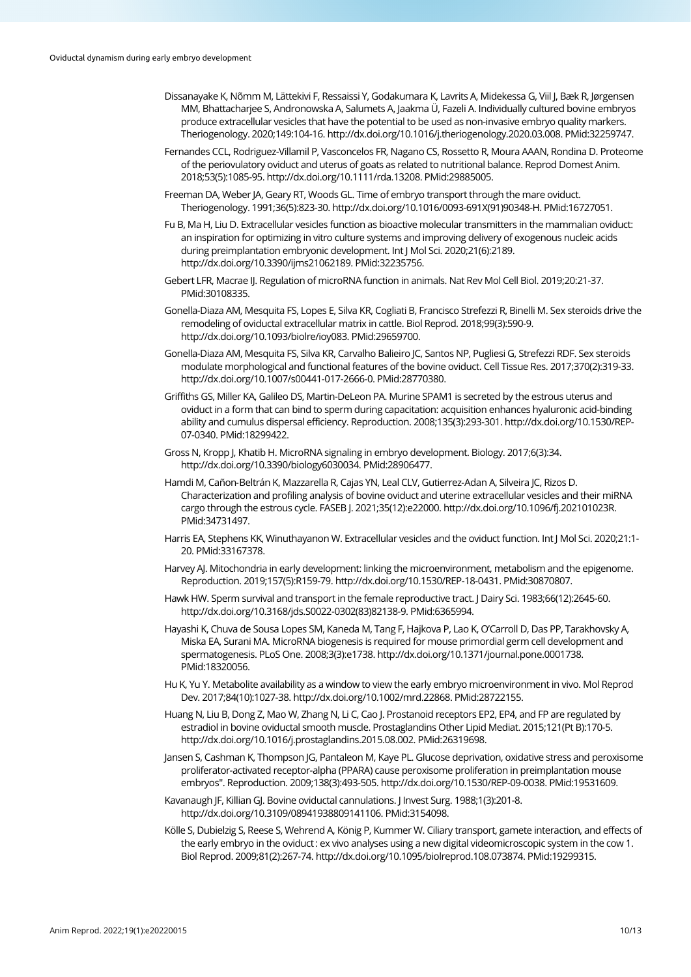- Dissanayake K, Nõmm M, Lättekivi F, Ressaissi Y, Godakumara K, Lavrits A, Midekessa G, Viil J, Bæk R, Jørgensen MM, Bhattacharjee S, Andronowska A, Salumets A, Jaakma Ü, Fazeli A. Individually cultured bovine embryos produce extracellular vesicles that have the potential to be used as non-invasive embryo quality markers. Theriogenology. 2020;149:104-16[. http://dx.doi.org/10.1016/j.theriogenology.2020.03.008.](https://doi.org/10.1016/j.theriogenology.2020.03.008) [PMid:32259747.](https://www.ncbi.nlm.nih.gov/entrez/query.fcgi?cmd=Retrieve&db=PubMed&list_uids=32259747&dopt=Abstract)
- Fernandes CCL, Rodriguez-Villamil P, Vasconcelos FR, Nagano CS, Rossetto R, Moura AAAN, Rondina D. Proteome of the periovulatory oviduct and uterus of goats as related to nutritional balance. Reprod Domest Anim. 2018;53(5):1085-95[. http://dx.doi.org/10.1111/rda.13208.](https://doi.org/10.1111/rda.13208) [PMid:29885005.](https://www.ncbi.nlm.nih.gov/entrez/query.fcgi?cmd=Retrieve&db=PubMed&list_uids=29885005&dopt=Abstract)
- Freeman DA, Weber JA, Geary RT, Woods GL. Time of embryo transport through the mare oviduct. Theriogenology. 1991;36(5):823-30[. http://dx.doi.org/10.1016/0093-691X\(91\)90348-H.](https://doi.org/10.1016/0093-691X(91)90348-H) [PMid:16727051.](https://www.ncbi.nlm.nih.gov/entrez/query.fcgi?cmd=Retrieve&db=PubMed&list_uids=16727051&dopt=Abstract)
- Fu B, Ma H, Liu D. Extracellular vesicles function as bioactive molecular transmitters in the mammalian oviduct: an inspiration for optimizing in vitro culture systems and improving delivery of exogenous nucleic acids during preimplantation embryonic development. Int J Mol Sci. 2020;21(6):2189. [http://dx.doi.org/10.3390/ijms21062189.](https://doi.org/10.3390/ijms21062189) [PMid:32235756.](https://www.ncbi.nlm.nih.gov/entrez/query.fcgi?cmd=Retrieve&db=PubMed&list_uids=32235756&dopt=Abstract)
- Gebert LFR, Macrae IJ. Regulation of microRNA function in animals. Nat Rev Mol Cell Biol. 2019;20:21-3[7.](https://www.ncbi.nlm.nih.gov/entrez/query.fcgi?cmd=Retrieve&db=PubMed&list_uids=30108335&dopt=Abstract) [PMid:30108335.](https://www.ncbi.nlm.nih.gov/entrez/query.fcgi?cmd=Retrieve&db=PubMed&list_uids=30108335&dopt=Abstract)
- Gonella-Diaza AM, Mesquita FS, Lopes E, Silva KR, Cogliati B, Francisco Strefezzi R, Binelli M. Sex steroids drive the remodeling of oviductal extracellular matrix in cattle. Biol Reprod. 2018;99(3):590-9. [http://dx.doi.org/10.1093/biolre/ioy083.](https://doi.org/10.1093/biolre/ioy083) [PMid:29659700.](https://www.ncbi.nlm.nih.gov/entrez/query.fcgi?cmd=Retrieve&db=PubMed&list_uids=29659700&dopt=Abstract)
- Gonella-Diaza AM, Mesquita FS, Silva KR, Carvalho Balieiro JC, Santos NP, Pugliesi G, Strefezzi RDF. Sex steroids modulate morphological and functional features of the bovine oviduct. Cell Tissue Res. 2017;370(2):319-33. [http://dx.doi.org/10.1007/s00441-017-2666-0.](https://doi.org/10.1007/s00441-017-2666-0) [PMid:28770380.](https://www.ncbi.nlm.nih.gov/entrez/query.fcgi?cmd=Retrieve&db=PubMed&list_uids=28770380&dopt=Abstract)
- Griffiths GS, Miller KA, Galileo DS, Martin-DeLeon PA. Murine SPAM1 is secreted by the estrous uterus and oviduct in a form that can bind to sperm during capacitation: acquisition enhances hyaluronic acid-binding ability and cumulus dispersal efficiency. Reproduction. 2008;135(3):293-301[. http://dx.doi.org/10.1530/REP-](https://doi.org/10.1530/REP-07-0340)[07-0340.](https://doi.org/10.1530/REP-07-0340) [PMid:18299422.](https://www.ncbi.nlm.nih.gov/entrez/query.fcgi?cmd=Retrieve&db=PubMed&list_uids=18299422&dopt=Abstract)
- Gross N, Kropp J, Khatib H. MicroRNA signaling in embryo development. Biology. 2017;6(3):34. [http://dx.doi.org/10.3390/biology6030034.](https://doi.org/10.3390/biology6030034) [PMid:28906477.](https://www.ncbi.nlm.nih.gov/entrez/query.fcgi?cmd=Retrieve&db=PubMed&list_uids=28906477&dopt=Abstract)
- Hamdi M, Cañon‐Beltrán K, Mazzarella R, Cajas YN, Leal CLV, Gutierrez‐Adan A, Silveira JC, Rizos D. Characterization and profiling analysis of bovine oviduct and uterine extracellular vesicles and their miRNA cargo through the estrous cycle. FASEB J. 2021;35(12):e22000[. http://dx.doi.org/10.1096/fj.202101023R.](https://doi.org/10.1096/fj.202101023R) [PMid:34731497.](https://www.ncbi.nlm.nih.gov/entrez/query.fcgi?cmd=Retrieve&db=PubMed&list_uids=34731497&dopt=Abstract)
- Harris EA, Stephens KK, Winuthayanon W. Extracellular vesicles and the oviduct function. Int J Mol Sci. 2020;21:1- 20. [PMid:33167378.](https://www.ncbi.nlm.nih.gov/entrez/query.fcgi?cmd=Retrieve&db=PubMed&list_uids=33167378&dopt=Abstract)
- Harvey AJ. Mitochondria in early development: linking the microenvironment, metabolism and the epigenome. Reproduction. 2019;157(5):R159-79[. http://dx.doi.org/10.1530/REP-18-0431.](https://doi.org/10.1530/REP-18-0431) [PMid:30870807.](https://www.ncbi.nlm.nih.gov/entrez/query.fcgi?cmd=Retrieve&db=PubMed&list_uids=30870807&dopt=Abstract)
- Hawk HW. Sperm survival and transport in the female reproductive tract. J Dairy Sci. 1983;66(12):2645-60. [http://dx.doi.org/10.3168/jds.S0022-0302\(83\)82138-9.](https://doi.org/10.3168/jds.S0022-0302(83)82138-9) [PMid:6365994.](https://www.ncbi.nlm.nih.gov/entrez/query.fcgi?cmd=Retrieve&db=PubMed&list_uids=6365994&dopt=Abstract)
- Hayashi K, Chuva de Sousa Lopes SM, Kaneda M, Tang F, Hajkova P, Lao K, O'Carroll D, Das PP, Tarakhovsky A, Miska EA, Surani MA. MicroRNA biogenesis is required for mouse primordial germ cell development and spermatogenesis. PLoS One. 2008;3(3):e1738[. http://dx.doi.org/10.1371/journal.pone.0001738](https://doi.org/10.1371/journal.pone.0001738)[.](https://www.ncbi.nlm.nih.gov/entrez/query.fcgi?cmd=Retrieve&db=PubMed&list_uids=18320056&dopt=Abstract) [PMid:18320056.](https://www.ncbi.nlm.nih.gov/entrez/query.fcgi?cmd=Retrieve&db=PubMed&list_uids=18320056&dopt=Abstract)
- Hu K, Yu Y. Metabolite availability as a window to view the early embryo microenvironment in vivo. Mol Reprod Dev. 2017;84(10):1027-38[. http://dx.doi.org/10.1002/mrd.22868.](https://doi.org/10.1002/mrd.22868) [PMid:28722155.](https://www.ncbi.nlm.nih.gov/entrez/query.fcgi?cmd=Retrieve&db=PubMed&list_uids=28722155&dopt=Abstract)
- Huang N, Liu B, Dong Z, Mao W, Zhang N, Li C, Cao J. Prostanoid receptors EP2, EP4, and FP are regulated by estradiol in bovine oviductal smooth muscle. Prostaglandins Other Lipid Mediat. 2015;121(Pt B):170-5. [http://dx.doi.org/10.1016/j.prostaglandins.2015.08.002.](https://doi.org/10.1016/j.prostaglandins.2015.08.002) [PMid:26319698.](https://www.ncbi.nlm.nih.gov/entrez/query.fcgi?cmd=Retrieve&db=PubMed&list_uids=26319698&dopt=Abstract)
- Jansen S, Cashman K, Thompson JG, Pantaleon M, Kaye PL. Glucose deprivation, oxidative stress and peroxisome proliferator-activated receptor-alpha (PPARA) cause peroxisome proliferation in preimplantation mouse embryos". Reproduction. 2009;138(3):493-505[. http://dx.doi.org/10.1530/REP-09-0038.](https://doi.org/10.1530/REP-09-0038) [PMid:19531609.](https://www.ncbi.nlm.nih.gov/entrez/query.fcgi?cmd=Retrieve&db=PubMed&list_uids=19531609&dopt=Abstract)
- Kavanaugh JF, Killian GJ. Bovine oviductal cannulations. J Invest Surg. 1988;1(3):201-8. [http://dx.doi.org/10.3109/08941938809141106.](https://doi.org/10.3109/08941938809141106) [PMid:3154098.](https://www.ncbi.nlm.nih.gov/entrez/query.fcgi?cmd=Retrieve&db=PubMed&list_uids=3154098&dopt=Abstract)
- Kölle S, Dubielzig S, Reese S, Wehrend A, König P, Kummer W. Ciliary transport, gamete interaction, and effects of the early embryo in the oviduct: ex vivo analyses using a new digital videomicroscopic system in the cow 1. Biol Reprod. 2009;81(2):267-74[. http://dx.doi.org/10.1095/biolreprod.108.073874.](https://doi.org/10.1095/biolreprod.108.073874) [PMid:19299315.](https://www.ncbi.nlm.nih.gov/entrez/query.fcgi?cmd=Retrieve&db=PubMed&list_uids=19299315&dopt=Abstract)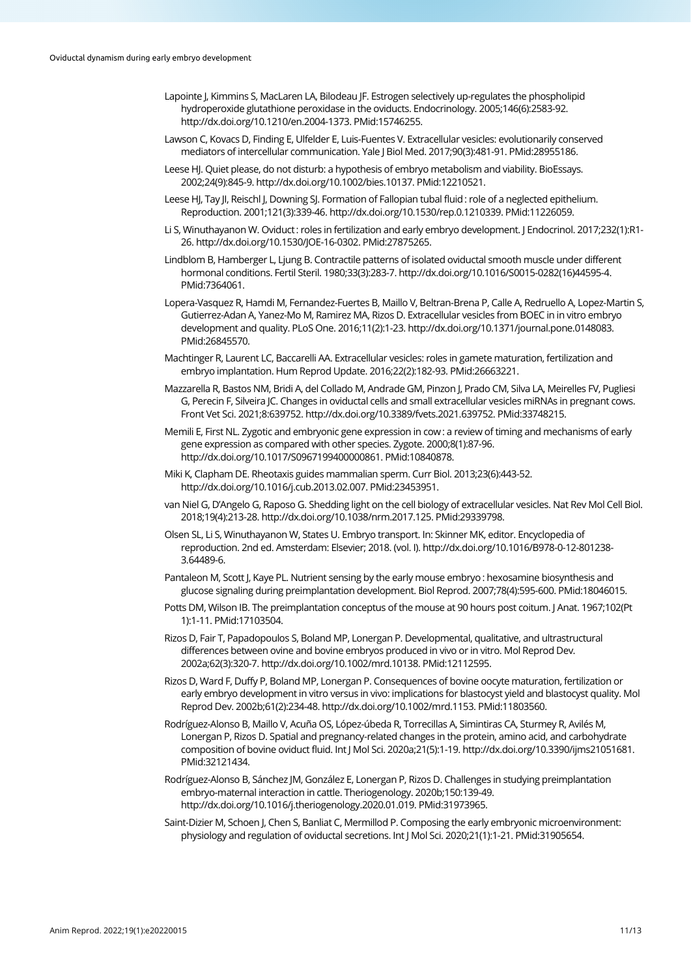- Lapointe J, Kimmins S, MacLaren LA, Bilodeau JF. Estrogen selectively up-regulates the phospholipid hydroperoxide glutathione peroxidase in the oviducts. Endocrinology. 2005;146(6):2583-92. [http://dx.doi.org/10.1210/en.2004-1373.](https://doi.org/10.1210/en.2004-1373) [PMid:15746255.](https://www.ncbi.nlm.nih.gov/entrez/query.fcgi?cmd=Retrieve&db=PubMed&list_uids=15746255&dopt=Abstract)
- Lawson C, Kovacs D, Finding E, Ulfelder E, Luis-Fuentes V. Extracellular vesicles: evolutionarily conserved mediators of intercellular communication. Yale | Biol Med. 2017;90(3):481-91. [PMid:28955186.](https://www.ncbi.nlm.nih.gov/entrez/query.fcgi?cmd=Retrieve&db=PubMed&list_uids=28955186&dopt=Abstract)
- Leese HJ. Quiet please, do not disturb: a hypothesis of embryo metabolism and viability. BioEssays. 2002;24(9):845-9[. http://dx.doi.org/10.1002/bies.10137.](https://doi.org/10.1002/bies.10137) [PMid:12210521.](https://www.ncbi.nlm.nih.gov/entrez/query.fcgi?cmd=Retrieve&db=PubMed&list_uids=12210521&dopt=Abstract)
- Leese HJ, Tay JI, Reischl J, Downing SJ. Formation of Fallopian tubal fluid: role of a neglected epithelium. Reproduction. 2001;121(3):339-46[. http://dx.doi.org/10.1530/rep.0.1210339.](https://doi.org/10.1530/rep.0.1210339) [PMid:11226059.](https://www.ncbi.nlm.nih.gov/entrez/query.fcgi?cmd=Retrieve&db=PubMed&list_uids=11226059&dopt=Abstract)
- Li S, Winuthayanon W. Oviduct: roles in fertilization and early embryo development. J Endocrinol. 2017;232(1):R1- 26[. http://dx.doi.org/10.1530/JOE-16-0302.](https://doi.org/10.1530/JOE-16-0302) [PMid:27875265.](https://www.ncbi.nlm.nih.gov/entrez/query.fcgi?cmd=Retrieve&db=PubMed&list_uids=27875265&dopt=Abstract)
- Lindblom B, Hamberger L, Ljung B. Contractile patterns of isolated oviductal smooth muscle under different hormonal conditions. Fertil Steril. 1980;33(3):283-7[. http://dx.doi.org/10.1016/S0015-0282\(16\)44595-4](https://doi.org/10.1016/S0015-0282(16)44595-4)[.](https://www.ncbi.nlm.nih.gov/entrez/query.fcgi?cmd=Retrieve&db=PubMed&list_uids=7364061&dopt=Abstract) [PMid:7364061.](https://www.ncbi.nlm.nih.gov/entrez/query.fcgi?cmd=Retrieve&db=PubMed&list_uids=7364061&dopt=Abstract)
- Lopera-Vasquez R, Hamdi M, Fernandez-Fuertes B, Maillo V, Beltran-Brena P, Calle A, Redruello A, Lopez-Martin S, Gutierrez-Adan A, Yanez-Mo M, Ramirez MA, Rizos D. Extracellular vesicles from BOEC in in vitro embryo development and quality. PLoS One. 2016;11(2):1-23[. http://dx.doi.org/10.1371/journal.pone.0148083](https://doi.org/10.1371/journal.pone.0148083)[.](https://www.ncbi.nlm.nih.gov/entrez/query.fcgi?cmd=Retrieve&db=PubMed&list_uids=26845570&dopt=Abstract) [PMid:26845570.](https://www.ncbi.nlm.nih.gov/entrez/query.fcgi?cmd=Retrieve&db=PubMed&list_uids=26845570&dopt=Abstract)
- Machtinger R, Laurent LC, Baccarelli AA. Extracellular vesicles: roles in gamete maturation, fertilization and embryo implantation. Hum Reprod Update. 2016;22(2):182-93. [PMid:26663221.](https://www.ncbi.nlm.nih.gov/entrez/query.fcgi?cmd=Retrieve&db=PubMed&list_uids=26663221&dopt=Abstract)
- Mazzarella R, Bastos NM, Bridi A, del Collado M, Andrade GM, Pinzon J, Prado CM, Silva LA, Meirelles FV, Pugliesi G, Perecin F, Silveira JC. Changes in oviductal cells and small extracellular vesicles miRNAs in pregnant cows. Front Vet Sci. 2021;8:639752[. http://dx.doi.org/10.3389/fvets.2021.639752.](https://doi.org/10.3389/fvets.2021.639752) [PMid:33748215.](https://www.ncbi.nlm.nih.gov/entrez/query.fcgi?cmd=Retrieve&db=PubMed&list_uids=33748215&dopt=Abstract)
- Memili E, First NL. Zygotic and embryonic gene expression in cow: a review of timing and mechanisms of early gene expression as compared with other species. Zygote. 2000;8(1):87-96. [http://dx.doi.org/10.1017/S0967199400000861.](https://doi.org/10.1017/S0967199400000861) [PMid:10840878.](https://www.ncbi.nlm.nih.gov/entrez/query.fcgi?cmd=Retrieve&db=PubMed&list_uids=10840878&dopt=Abstract)
- Miki K, Clapham DE. Rheotaxis guides mammalian sperm. Curr Biol. 2013;23(6):443-52. [http://dx.doi.org/10.1016/j.cub.2013.02.007.](https://doi.org/10.1016/j.cub.2013.02.007) [PMid:23453951.](https://www.ncbi.nlm.nih.gov/entrez/query.fcgi?cmd=Retrieve&db=PubMed&list_uids=23453951&dopt=Abstract)
- van Niel G, D'Angelo G, Raposo G. Shedding light on the cell biology of extracellular vesicles. Nat Rev Mol Cell Biol. 2018;19(4):213-28[. http://dx.doi.org/10.1038/nrm.2017.125.](https://doi.org/10.1038/nrm.2017.125) [PMid:29339798.](https://www.ncbi.nlm.nih.gov/entrez/query.fcgi?cmd=Retrieve&db=PubMed&list_uids=29339798&dopt=Abstract)
- Olsen SL, Li S, Winuthayanon W, States U. Embryo transport. In: Skinner MK, editor. Encyclopedia of reproduction. 2nd ed. Amsterdam: Elsevier; 2018. (vol. I)[. http://dx.doi.org/10.1016/B978-0-12-801238-](https://doi.org/10.1016/B978-0-12-801238-3.64489-6) [3.64489-6.](https://doi.org/10.1016/B978-0-12-801238-3.64489-6)
- Pantaleon M, Scott J, Kaye PL. Nutrient sensing by the early mouse embryo: hexosamine biosynthesis and glucose signaling during preimplantation development. Biol Reprod. 2007;78(4):595-600. [PMid:18046015.](https://www.ncbi.nlm.nih.gov/entrez/query.fcgi?cmd=Retrieve&db=PubMed&list_uids=18046015&dopt=Abstract)
- Potts DM, Wilson IB. The preimplantation conceptus of the mouse at 90 hours post coitum. J Anat. 1967;102(Pt 1):1-11. [PMid:17103504.](https://www.ncbi.nlm.nih.gov/entrez/query.fcgi?cmd=Retrieve&db=PubMed&list_uids=17103504&dopt=Abstract)
- Rizos D, Fair T, Papadopoulos S, Boland MP, Lonergan P. Developmental, qualitative, and ultrastructural differences between ovine and bovine embryos produced in vivo or in vitro. Mol Reprod Dev. 2002a;62(3):320-7[. http://dx.doi.org/10.1002/mrd.10138.](https://doi.org/10.1002/mrd.10138) [PMid:12112595.](https://www.ncbi.nlm.nih.gov/entrez/query.fcgi?cmd=Retrieve&db=PubMed&list_uids=12112595&dopt=Abstract)
- Rizos D, Ward F, Duffy P, Boland MP, Lonergan P. Consequences of bovine oocyte maturation, fertilization or early embryo development in vitro versus in vivo: implications for blastocyst yield and blastocyst quality. Mol Reprod Dev. 2002b;61(2):234-48[. http://dx.doi.org/10.1002/mrd.1153.](https://doi.org/10.1002/mrd.1153) [PMid:11803560.](https://www.ncbi.nlm.nih.gov/entrez/query.fcgi?cmd=Retrieve&db=PubMed&list_uids=11803560&dopt=Abstract)
- Rodríguez-Alonso B, Maillo V, Acuña OS, López-úbeda R, Torrecillas A, Simintiras CA, Sturmey R, Avilés M, Lonergan P, Rizos D. Spatial and pregnancy-related changes in the protein, amino acid, and carbohydrate composition of bovine oviduct fluid. Int J Mol Sci. 2020a;21(5):1-19[. http://dx.doi.org/10.3390/ijms21051681](https://doi.org/10.3390/ijms21051681)[.](https://www.ncbi.nlm.nih.gov/entrez/query.fcgi?cmd=Retrieve&db=PubMed&list_uids=32121434&dopt=Abstract) [PMid:32121434.](https://www.ncbi.nlm.nih.gov/entrez/query.fcgi?cmd=Retrieve&db=PubMed&list_uids=32121434&dopt=Abstract)
- Rodríguez-Alonso B, Sánchez JM, González E, Lonergan P, Rizos D. Challenges in studying preimplantation embryo-maternal interaction in cattle. Theriogenology. 2020b;150:139-49. [http://dx.doi.org/10.1016/j.theriogenology.2020.01.019.](https://doi.org/10.1016/j.theriogenology.2020.01.019) [PMid:31973965.](https://www.ncbi.nlm.nih.gov/entrez/query.fcgi?cmd=Retrieve&db=PubMed&list_uids=31973965&dopt=Abstract)
- Saint-Dizier M, Schoen J, Chen S, Banliat C, Mermillod P. Composing the early embryonic microenvironment: physiology and regulation of oviductal secretions. Int J Mol Sci. 2020;21(1):1-21. [PMid:31905654.](https://www.ncbi.nlm.nih.gov/entrez/query.fcgi?cmd=Retrieve&db=PubMed&list_uids=31905654&dopt=Abstract)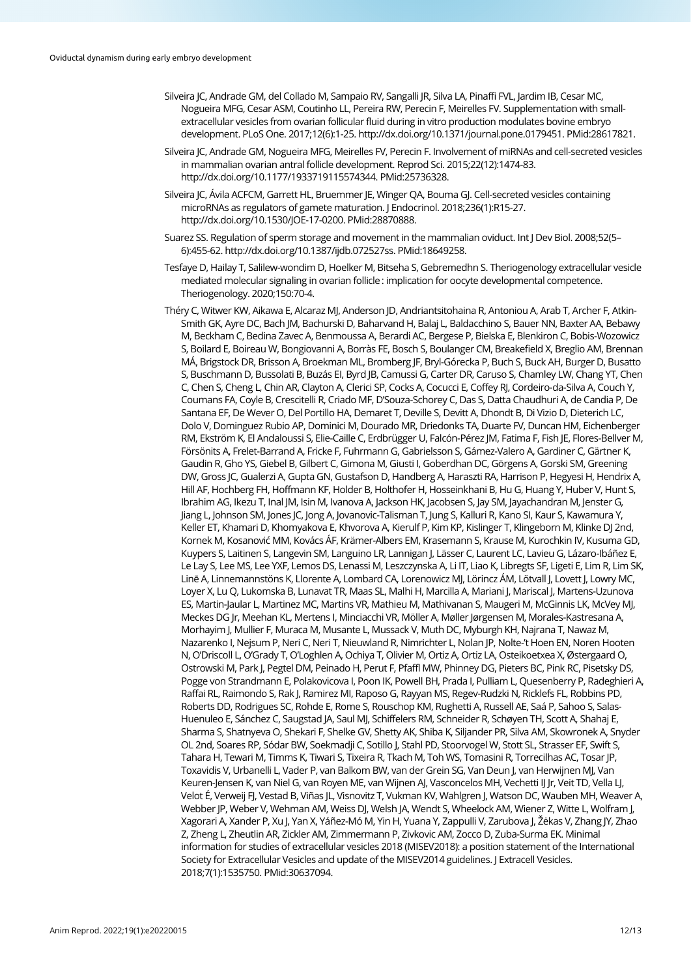- Silveira JC, Andrade GM, del Collado M, Sampaio RV, Sangalli JR, Silva LA, Pinaffi FVL, Jardim IB, Cesar MC, Nogueira MFG, Cesar ASM, Coutinho LL, Pereira RW, Perecin F, Meirelles FV. Supplementation with smallextracellular vesicles from ovarian follicular fluid during in vitro production modulates bovine embryo development. PLoS One. 2017;12(6):1-25[. http://dx.doi.org/10.1371/journal.pone.0179451.](https://doi.org/10.1371/journal.pone.0179451) [PMid:28617821.](https://www.ncbi.nlm.nih.gov/entrez/query.fcgi?cmd=Retrieve&db=PubMed&list_uids=28617821&dopt=Abstract)
- Silveira JC, Andrade GM, Nogueira MFG, Meirelles FV, Perecin F. Involvement of miRNAs and cell-secreted vesicles in mammalian ovarian antral follicle development. Reprod Sci. 2015;22(12):1474-83. [http://dx.doi.org/10.1177/1933719115574344.](https://doi.org/10.1177/1933719115574344) [PMid:25736328.](https://www.ncbi.nlm.nih.gov/entrez/query.fcgi?cmd=Retrieve&db=PubMed&list_uids=25736328&dopt=Abstract)
- Silveira JC, Ávila ACFCM, Garrett HL, Bruemmer JE, Winger QA, Bouma GJ. Cell-secreted vesicles containing microRNAs as regulators of gamete maturation. J Endocrinol. 2018;236(1):R15-27. [http://dx.doi.org/10.1530/JOE-17-0200.](https://doi.org/10.1530/JOE-17-0200) [PMid:28870888.](https://www.ncbi.nlm.nih.gov/entrez/query.fcgi?cmd=Retrieve&db=PubMed&list_uids=28870888&dopt=Abstract)
- Suarez SS. Regulation of sperm storage and movement in the mammalian oviduct. Int J Dev Biol. 2008;52(5– 6):455-62[. http://dx.doi.org/10.1387/ijdb.072527ss.](https://doi.org/10.1387/ijdb.072527ss) [PMid:18649258.](https://www.ncbi.nlm.nih.gov/entrez/query.fcgi?cmd=Retrieve&db=PubMed&list_uids=18649258&dopt=Abstract)
- Tesfaye D, Hailay T, Salilew-wondim D, Hoelker M, Bitseha S, Gebremedhn S. Theriogenology extracellular vesicle mediated molecular signaling in ovarian follicle: implication for oocyte developmental competence. Theriogenology. 2020;150:70-4.
- Théry C, Witwer KW, Aikawa E, Alcaraz MJ, Anderson JD, Andriantsitohaina R, Antoniou A, Arab T, Archer F, Atkin-Smith GK, Ayre DC, Bach JM, Bachurski D, Baharvand H, Balaj L, Baldacchino S, Bauer NN, Baxter AA, Bebawy M, Beckham C, Bedina Zavec A, Benmoussa A, Berardi AC, Bergese P, Bielska E, Blenkiron C, Bobis-Wozowicz S, Boilard E, Boireau W, Bongiovanni A, Borràs FE, Bosch S, Boulanger CM, Breakefield X, Breglio AM, Brennan MÁ, Brigstock DR, Brisson A, Broekman ML, Bromberg JF, Bryl-Górecka P, Buch S, Buck AH, Burger D, Busatto S, Buschmann D, Bussolati B, Buzás EI, Byrd JB, Camussi G, Carter DR, Caruso S, Chamley LW, Chang YT, Chen C, Chen S, Cheng L, Chin AR, Clayton A, Clerici SP, Cocks A, Cocucci E, Coffey RJ, Cordeiro-da-Silva A, Couch Y, Coumans FA, Coyle B, Crescitelli R, Criado MF, D'Souza-Schorey C, Das S, Datta Chaudhuri A, de Candia P, De Santana EF, De Wever O, Del Portillo HA, Demaret T, Deville S, Devitt A, Dhondt B, Di Vizio D, Dieterich LC, Dolo V, Dominguez Rubio AP, Dominici M, Dourado MR, Driedonks TA, Duarte FV, Duncan HM, Eichenberger RM, Ekström K, El Andaloussi S, Elie-Caille C, Erdbrügger U, Falcón-Pérez JM, Fatima F, Fish JE, Flores-Bellver M, Försönits A, Frelet-Barrand A, Fricke F, Fuhrmann G, Gabrielsson S, Gámez-Valero A, Gardiner C, Gärtner K, Gaudin R, Gho YS, Giebel B, Gilbert C, Gimona M, Giusti I, Goberdhan DC, Görgens A, Gorski SM, Greening DW, Gross JC, Gualerzi A, Gupta GN, Gustafson D, Handberg A, Haraszti RA, Harrison P, Hegyesi H, Hendrix A, Hill AF, Hochberg FH, Hoffmann KF, Holder B, Holthofer H, Hosseinkhani B, Hu G, Huang Y, Huber V, Hunt S, Ibrahim AG, Ikezu T, Inal JM, Isin M, Ivanova A, Jackson HK, Jacobsen S, Jay SM, Jayachandran M, Jenster G, Jiang L, Johnson SM, Jones JC, Jong A, Jovanovic-Talisman T, Jung S, Kalluri R, Kano SI, Kaur S, Kawamura Y, Keller ET, Khamari D, Khomyakova E, Khvorova A, Kierulf P, Kim KP, Kislinger T, Klingeborn M, Klinke DJ 2nd, Kornek M, Kosanović MM, Kovács ÁF, Krämer-Albers EM, Krasemann S, Krause M, Kurochkin IV, Kusuma GD, Kuypers S, Laitinen S, Langevin SM, Languino LR, Lannigan J, Lässer C, Laurent LC, Lavieu G, Lázaro-Ibáñez E, Le Lay S, Lee MS, Lee YXF, Lemos DS, Lenassi M, Leszczynska A, Li IT, Liao K, Libregts SF, Ligeti E, Lim R, Lim SK, Linē A, Linnemannstöns K, Llorente A, Lombard CA, Lorenowicz MJ, Lörincz ÁM, Lötvall J, Lovett J, Lowry MC, Loyer X, Lu Q, Lukomska B, Lunavat TR, Maas SL, Malhi H, Marcilla A, Mariani J, Mariscal J, Martens-Uzunova ES, Martin-Jaular L, Martinez MC, Martins VR, Mathieu M, Mathivanan S, Maugeri M, McGinnis LK, McVey MJ, Meckes DG Jr, Meehan KL, Mertens I, Minciacchi VR, Möller A, Møller Jørgensen M, Morales-Kastresana A, Morhayim J, Mullier F, Muraca M, Musante L, Mussack V, Muth DC, Myburgh KH, Najrana T, Nawaz M, Nazarenko I, Nejsum P, Neri C, Neri T, Nieuwland R, Nimrichter L, Nolan JP, Nolte-'t Hoen EN, Noren Hooten N, O'Driscoll L, O'Grady T, O'Loghlen A, Ochiya T, Olivier M, Ortiz A, Ortiz LA, Osteikoetxea X, Østergaard O, Ostrowski M, Park J, Pegtel DM, Peinado H, Perut F, Pfaffl MW, Phinney DG, Pieters BC, Pink RC, Pisetsky DS, Pogge von Strandmann E, Polakovicova I, Poon IK, Powell BH, Prada I, Pulliam L, Quesenberry P, Radeghieri A, Raffai RL, Raimondo S, Rak J, Ramirez MI, Raposo G, Rayyan MS, Regev-Rudzki N, Ricklefs FL, Robbins PD, Roberts DD, Rodrigues SC, Rohde E, Rome S, Rouschop KM, Rughetti A, Russell AE, Saá P, Sahoo S, Salas-Huenuleo E, Sánchez C, Saugstad JA, Saul MJ, Schiffelers RM, Schneider R, Schøyen TH, Scott A, Shahaj E, Sharma S, Shatnyeva O, Shekari F, Shelke GV, Shetty AK, Shiba K, Siljander PR, Silva AM, Skowronek A, Snyder OL 2nd, Soares RP, Sódar BW, Soekmadji C, Sotillo J, Stahl PD, Stoorvogel W, Stott SL, Strasser EF, Swift S, Tahara H, Tewari M, Timms K, Tiwari S, Tixeira R, Tkach M, Toh WS, Tomasini R, Torrecilhas AC, Tosar JP, Toxavidis V, Urbanelli L, Vader P, van Balkom BW, van der Grein SG, Van Deun J, van Herwijnen MJ, Van Keuren-Jensen K, van Niel G, van Royen ME, van Wijnen AJ, Vasconcelos MH, Vechetti IJ Jr, Veit TD, Vella LJ, Velot É, Verweij FJ, Vestad B, Viñas JL, Visnovitz T, Vukman KV, Wahlgren J, Watson DC, Wauben MH, Weaver A, Webber JP, Weber V, Wehman AM, Weiss DJ, Welsh JA, Wendt S, Wheelock AM, Wiener Z, Witte L, Wolfram J, Xagorari A, Xander P, Xu J, Yan X, Yáñez-Mó M, Yin H, Yuana Y, Zappulli V, Zarubova J, Žėkas V, Zhang JY, Zhao Z, Zheng L, Zheutlin AR, Zickler AM, Zimmermann P, Zivkovic AM, Zocco D, Zuba-Surma EK. Minimal information for studies of extracellular vesicles 2018 (MISEV2018): a position statement of the International Society for Extracellular Vesicles and update of the MISEV2014 guidelines. J Extracell Vesicles. 2018;7(1):1535750. [PMid:30637094.](https://www.ncbi.nlm.nih.gov/entrez/query.fcgi?cmd=Retrieve&db=PubMed&list_uids=30637094&dopt=Abstract)